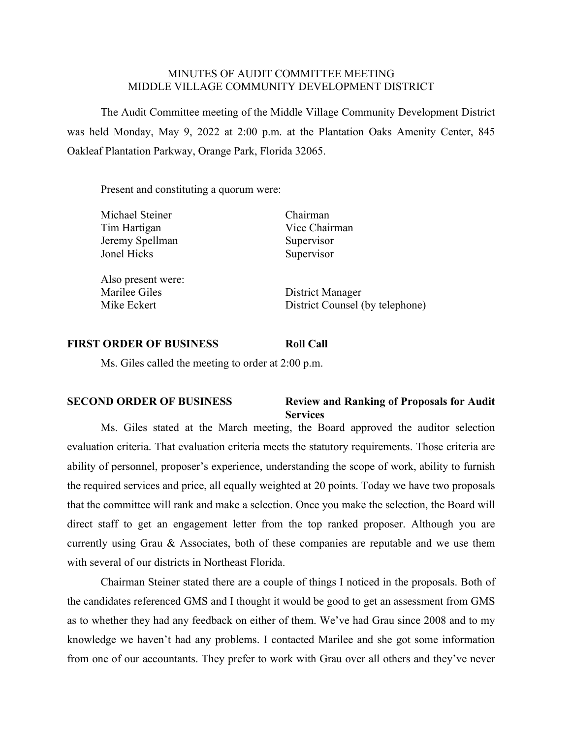## MINUTES OF AUDIT COMMITTEE MEETING MIDDLE VILLAGE COMMUNITY DEVELOPMENT DISTRICT

The Audit Committee meeting of the Middle Village Community Development District was held Monday, May 9, 2022 at 2:00 p.m. at the Plantation Oaks Amenity Center, 845 Oakleaf Plantation Parkway, Orange Park, Florida 32065.

Present and constituting a quorum were:

| Michael Steiner    | Chairman                        |
|--------------------|---------------------------------|
| Tim Hartigan       | Vice Chairman                   |
| Jeremy Spellman    | Supervisor                      |
| Jonel Hicks        | Supervisor                      |
| Also present were: |                                 |
| Marilee Giles      | District Manager                |
| Mike Eckert        | District Counsel (by telephone) |
|                    |                                 |

## **FIRST ORDER OF BUSINESS Roll Call**

Ms. Giles called the meeting to order at 2:00 p.m.

## **SECOND ORDER OF BUSINESS Review and Ranking of Proposals for Audit Services**

Ms. Giles stated at the March meeting, the Board approved the auditor selection evaluation criteria. That evaluation criteria meets the statutory requirements. Those criteria are ability of personnel, proposer's experience, understanding the scope of work, ability to furnish the required services and price, all equally weighted at 20 points. Today we have two proposals that the committee will rank and make a selection. Once you make the selection, the Board will direct staff to get an engagement letter from the top ranked proposer. Although you are currently using Grau & Associates, both of these companies are reputable and we use them with several of our districts in Northeast Florida.

Chairman Steiner stated there are a couple of things I noticed in the proposals. Both of the candidates referenced GMS and I thought it would be good to get an assessment from GMS as to whether they had any feedback on either of them. We've had Grau since 2008 and to my knowledge we haven't had any problems. I contacted Marilee and she got some information from one of our accountants. They prefer to work with Grau over all others and they've never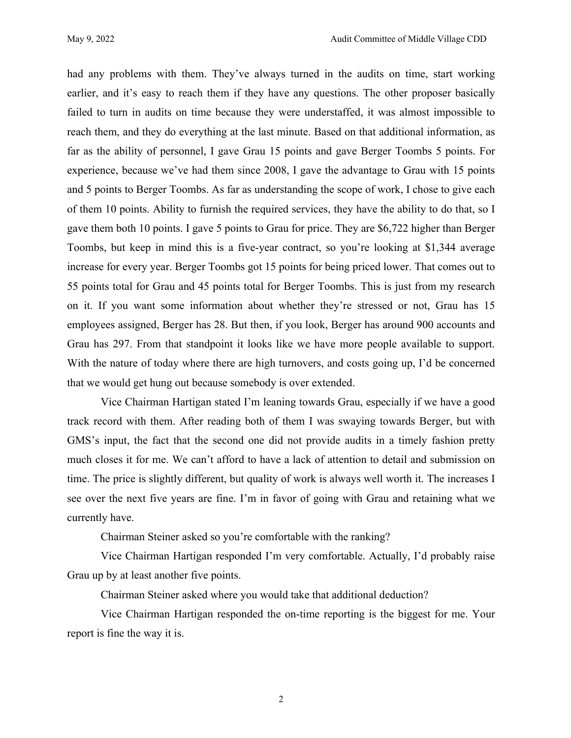had any problems with them. They've always turned in the audits on time, start working earlier, and it's easy to reach them if they have any questions. The other proposer basically failed to turn in audits on time because they were understaffed, it was almost impossible to reach them, and they do everything at the last minute. Based on that additional information, as far as the ability of personnel, I gave Grau 15 points and gave Berger Toombs 5 points. For experience, because we've had them since 2008, I gave the advantage to Grau with 15 points and 5 points to Berger Toombs. As far as understanding the scope of work, I chose to give each of them 10 points. Ability to furnish the required services, they have the ability to do that, so I gave them both 10 points. I gave 5 points to Grau for price. They are \$6,722 higher than Berger Toombs, but keep in mind this is a five-year contract, so you're looking at \$1,344 average increase for every year. Berger Toombs got 15 points for being priced lower. That comes out to 55 points total for Grau and 45 points total for Berger Toombs. This is just from my research on it. If you want some information about whether they're stressed or not, Grau has 15 employees assigned, Berger has 28. But then, if you look, Berger has around 900 accounts and Grau has 297. From that standpoint it looks like we have more people available to support. With the nature of today where there are high turnovers, and costs going up, I'd be concerned that we would get hung out because somebody is over extended.

Vice Chairman Hartigan stated I'm leaning towards Grau, especially if we have a good track record with them. After reading both of them I was swaying towards Berger, but with GMS's input, the fact that the second one did not provide audits in a timely fashion pretty much closes it for me. We can't afford to have a lack of attention to detail and submission on time. The price is slightly different, but quality of work is always well worth it. The increases I see over the next five years are fine. I'm in favor of going with Grau and retaining what we currently have.

Chairman Steiner asked so you're comfortable with the ranking?

Vice Chairman Hartigan responded I'm very comfortable. Actually, I'd probably raise Grau up by at least another five points.

Chairman Steiner asked where you would take that additional deduction?

Vice Chairman Hartigan responded the on-time reporting is the biggest for me. Your report is fine the way it is.

2